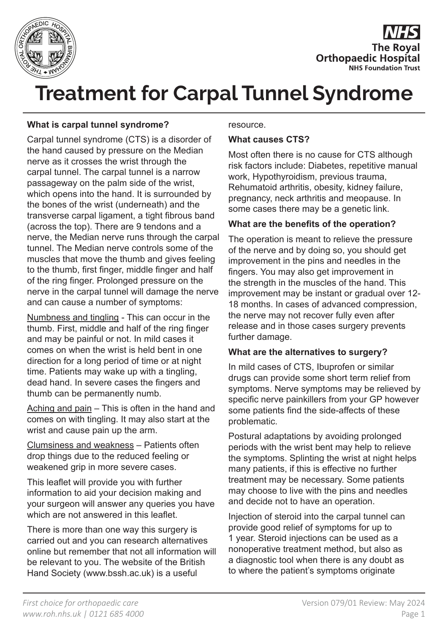



# **Treatment for Carpal Tunnel Syndrome**

### **What is carpal tunnel syndrome?**

Carpal tunnel syndrome (CTS) is a disorder of the hand caused by pressure on the Median nerve as it crosses the wrist through the carpal tunnel. The carpal tunnel is a narrow passageway on the palm side of the wrist, which opens into the hand. It is surrounded by the bones of the wrist (underneath) and the transverse carpal ligament, a tight fibrous band (across the top). There are 9 tendons and a nerve, the Median nerve runs through the carpal tunnel. The Median nerve controls some of the muscles that move the thumb and gives feeling to the thumb, first finger, middle finger and half of the ring finger. Prolonged pressure on the nerve in the carpal tunnel will damage the nerve and can cause a number of symptoms:

Numbness and tingling - This can occur in the thumb. First, middle and half of the ring finger and may be painful or not. In mild cases it comes on when the wrist is held bent in one direction for a long period of time or at night time. Patients may wake up with a tingling, dead hand. In severe cases the fingers and thumb can be permanently numb.

Aching and pain – This is often in the hand and comes on with tingling. It may also start at the wrist and cause pain up the arm.

Clumsiness and weakness – Patients often drop things due to the reduced feeling or weakened grip in more severe cases.

This leaflet will provide you with further information to aid your decision making and your surgeon will answer any queries you have which are not answered in this leaflet.

There is more than one way this surgery is carried out and you can research alternatives online but remember that not all information will be relevant to you. The website of the British Hand Society (www.bssh.ac.uk) is a useful

#### resource.

#### **What causes CTS?**

Most often there is no cause for CTS although risk factors include: Diabetes, repetitive manual work, Hypothyroidism, previous trauma, Rehumatoid arthritis, obesity, kidney failure, pregnancy, neck arthritis and meopause. In some cases there may be a genetic link.

#### **What are the benefits of the operation?**

The operation is meant to relieve the pressure of the nerve and by doing so, you should get improvement in the pins and needles in the fingers. You may also get improvement in the strength in the muscles of the hand. This improvement may be instant or gradual over 12- 18 months. In cases of advanced compression, the nerve may not recover fully even after release and in those cases surgery prevents further damage.

#### **What are the alternatives to surgery?**

In mild cases of CTS, Ibuprofen or similar drugs can provide some short term relief from symptoms. Nerve symptoms may be relieved by specific nerve painkillers from your GP however some patients find the side-affects of these problematic.

Postural adaptations by avoiding prolonged periods with the wrist bent may help to relieve the symptoms. Splinting the wrist at night helps many patients, if this is effective no further treatment may be necessary. Some patients may choose to live with the pins and needles and decide not to have an operation.

Injection of steroid into the carpal tunnel can provide good relief of symptoms for up to 1 year. Steroid injections can be used as a nonoperative treatment method, but also as a diagnostic tool when there is any doubt as to where the patient's symptoms originate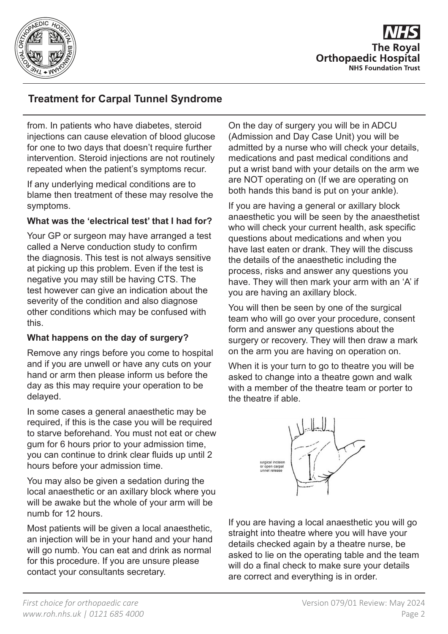

## **Treatment for Carpal Tunnel Syndrome**

from. In patients who have diabetes, steroid injections can cause elevation of blood glucose for one to two days that doesn't require further intervention. Steroid injections are not routinely repeated when the patient's symptoms recur.

If any underlying medical conditions are to blame then treatment of these may resolve the symptoms.

#### **What was the 'electrical test' that I had for?**

Your GP or surgeon may have arranged a test called a Nerve conduction study to confirm the diagnosis. This test is not always sensitive at picking up this problem. Even if the test is negative you may still be having CTS. The test however can give an indication about the severity of the condition and also diagnose other conditions which may be confused with this.

#### **What happens on the day of surgery?**

Remove any rings before you come to hospital and if you are unwell or have any cuts on your hand or arm then please inform us before the day as this may require your operation to be delayed.

In some cases a general anaesthetic may be required, if this is the case you will be required to starve beforehand. You must not eat or chew gum for 6 hours prior to your admission time, you can continue to drink clear fluids up until 2 hours before your admission time.

You may also be given a sedation during the local anaesthetic or an axillary block where you will be awake but the whole of your arm will be numb for 12 hours.

Most patients will be given a local anaesthetic, an injection will be in your hand and your hand will go numb. You can eat and drink as normal for this procedure. If you are unsure please contact your consultants secretary.

On the day of surgery you will be in ADCU (Admission and Day Case Unit) you will be admitted by a nurse who will check your details, medications and past medical conditions and put a wrist band with your details on the arm we are NOT operating on (If we are operating on both hands this band is put on your ankle).

If you are having a general or axillary block anaesthetic you will be seen by the anaesthetist who will check your current health, ask specific questions about medications and when you have last eaten or drank. They will the discuss the details of the anaesthetic including the process, risks and answer any questions you have. They will then mark your arm with an 'A' if you are having an axillary block.

You will then be seen by one of the surgical team who will go over your procedure, consent form and answer any questions about the surgery or recovery. They will then draw a mark on the arm you are having on operation on.

When it is your turn to go to theatre you will be asked to change into a theatre gown and walk with a member of the theatre team or porter to the theatre if able.



If you are having a local anaesthetic you will go straight into theatre where you will have your details checked again by a theatre nurse, be asked to lie on the operating table and the team will do a final check to make sure your details are correct and everything is in order.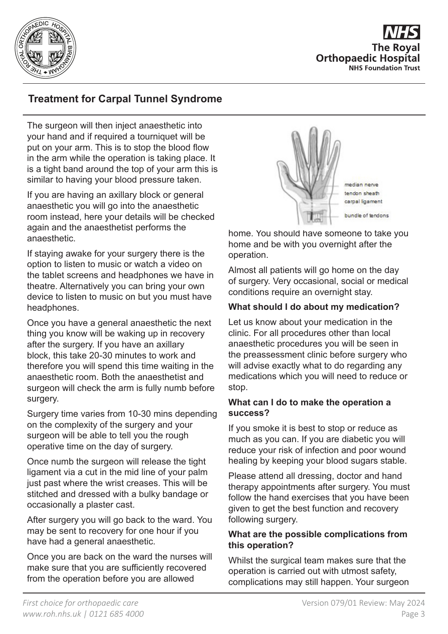

## **Treatment for Carpal Tunnel Syndrome**

The surgeon will then inject anaesthetic into your hand and if required a tourniquet will be put on your arm. This is to stop the blood flow in the arm while the operation is taking place. It is a tight band around the top of your arm this is similar to having your blood pressure taken.

If you are having an axillary block or general anaesthetic you will go into the anaesthetic room instead, here your details will be checked again and the anaesthetist performs the anaesthetic.

If staying awake for your surgery there is the option to listen to music or watch a video on the tablet screens and headphones we have in theatre. Alternatively you can bring your own device to listen to music on but you must have headphones.

Once you have a general anaesthetic the next thing you know will be waking up in recovery after the surgery. If you have an axillary block, this take 20-30 minutes to work and therefore you will spend this time waiting in the anaesthetic room. Both the anaesthetist and surgeon will check the arm is fully numb before surgery.

Surgery time varies from 10-30 mins depending on the complexity of the surgery and your surgeon will be able to tell you the rough operative time on the day of surgery.

Once numb the surgeon will release the tight ligament via a cut in the mid line of your palm just past where the wrist creases. This will be stitched and dressed with a bulky bandage or occasionally a plaster cast.

After surgery you will go back to the ward. You may be sent to recovery for one hour if you have had a general anaesthetic.

Once you are back on the ward the nurses will make sure that you are sufficiently recovered from the operation before you are allowed



home. You should have someone to take you home and be with you overnight after the operation.

Almost all patients will go home on the day of surgery. Very occasional, social or medical conditions require an overnight stay.

#### **What should I do about my medication?**

Let us know about your medication in the clinic. For all procedures other than local anaesthetic procedures you will be seen in the preassessment clinic before surgery who will advise exactly what to do regarding any medications which you will need to reduce or stop.

#### **What can I do to make the operation a success?**

If you smoke it is best to stop or reduce as much as you can. If you are diabetic you will reduce your risk of infection and poor wound healing by keeping your blood sugars stable.

Please attend all dressing, doctor and hand therapy appointments after surgery. You must follow the hand exercises that you have been given to get the best function and recovery following surgery.

#### **What are the possible complications from this operation?**

Whilst the surgical team makes sure that the operation is carried out with utmost safety, complications may still happen. Your surgeon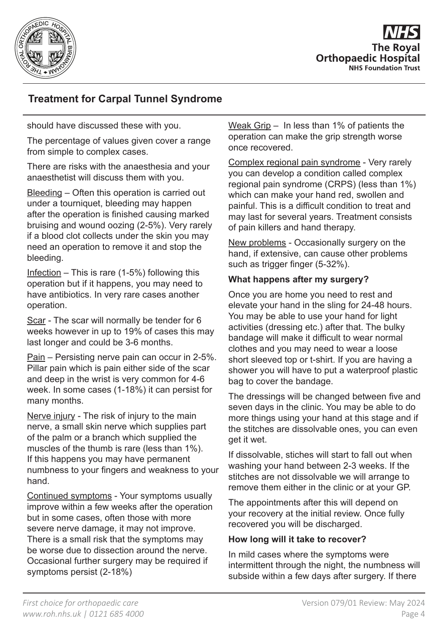

## **Treatment for Carpal Tunnel Syndrome**

should have discussed these with you.

The percentage of values given cover a range from simple to complex cases.

There are risks with the anaesthesia and your anaesthetist will discuss them with you.

Bleeding – Often this operation is carried out under a tourniquet, bleeding may happen after the operation is finished causing marked bruising and wound oozing (2-5%). Very rarely if a blood clot collects under the skin you may need an operation to remove it and stop the bleeding.

Infection – This is rare  $(1-5%)$  following this operation but if it happens, you may need to have antibiotics. In very rare cases another operation.

Scar - The scar will normally be tender for 6 weeks however in up to 19% of cases this may last longer and could be 3-6 months.

Pain – Persisting nerve pain can occur in 2-5%. Pillar pain which is pain either side of the scar and deep in the wrist is very common for 4-6 week. In some cases (1-18%) it can persist for many months.

Nerve injury - The risk of injury to the main nerve, a small skin nerve which supplies part of the palm or a branch which supplied the muscles of the thumb is rare (less than 1%). If this happens you may have permanent numbness to your fingers and weakness to your hand.

Continued symptoms - Your symptoms usually improve within a few weeks after the operation but in some cases, often those with more severe nerve damage, it may not improve. There is a small risk that the symptoms may be worse due to dissection around the nerve. Occasional further surgery may be required if symptoms persist (2-18%)

Weak Grip – In less than 1% of patients the operation can make the grip strength worse once recovered.

Complex regional pain syndrome - Very rarely you can develop a condition called complex regional pain syndrome (CRPS) (less than 1%) which can make your hand red, swollen and painful. This is a difficult condition to treat and may last for several years. Treatment consists of pain killers and hand therapy.

New problems - Occasionally surgery on the hand, if extensive, can cause other problems such as trigger finger (5-32%).

#### **What happens after my surgery?**

Once you are home you need to rest and elevate your hand in the sling for 24-48 hours. You may be able to use your hand for light activities (dressing etc.) after that. The bulky bandage will make it difficult to wear normal clothes and you may need to wear a loose short sleeved top or t-shirt. If you are having a shower you will have to put a waterproof plastic bag to cover the bandage.

The dressings will be changed between five and seven days in the clinic. You may be able to do more things using your hand at this stage and if the stitches are dissolvable ones, you can even get it wet.

If dissolvable, stiches will start to fall out when washing your hand between 2-3 weeks. If the stitches are not dissolvable we will arrange to remove them either in the clinic or at your GP.

The appointments after this will depend on your recovery at the initial review. Once fully recovered you will be discharged.

#### **How long will it take to recover?**

In mild cases where the symptoms were intermittent through the night, the numbness will subside within a few days after surgery. If there